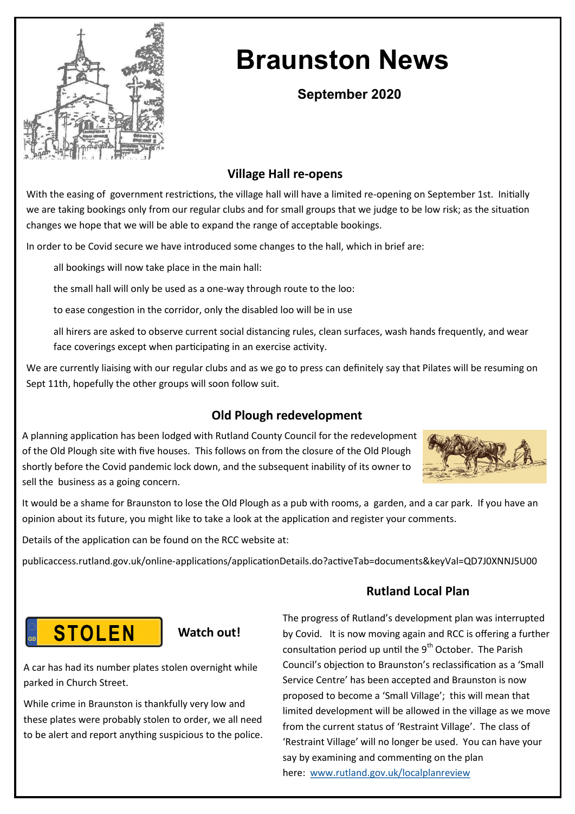

# **Braunston News**

## **September 2020**

## **Village Hall re-opens**

With the easing of government restrictions, the village hall will have a limited re-opening on September 1st. Initially we are taking bookings only from our regular clubs and for small groups that we judge to be low risk; as the situation changes we hope that we will be able to expand the range of acceptable bookings.

In order to be Covid secure we have introduced some changes to the hall, which in brief are:

all bookings will now take place in the main hall:

the small hall will only be used as a one-way through route to the loo:

to ease congestion in the corridor, only the disabled loo will be in use

all hirers are asked to observe current social distancing rules, clean surfaces, wash hands frequently, and wear face coverings except when participating in an exercise activity.

We are currently liaising with our regular clubs and as we go to press can definitely say that Pilates will be resuming on Sept 11th, hopefully the other groups will soon follow suit.

## **Old Plough redevelopment**

A planning application has been lodged with Rutland County Council for the redevelopment of the Old Plough site with five houses. This follows on from the closure of the Old Plough shortly before the Covid pandemic lock down, and the subsequent inability of its owner to sell the business as a going concern.



It would be a shame for Braunston to lose the Old Plough as a pub with rooms, a garden, and a car park. If you have an opinion about its future, you might like to take a look at the application and register your comments.

Details of the application can be found on the RCC website at:

publicaccess.rutland.gov.uk/online-applications/applicationDetails.do?activeTab=documents&keyVal=QD7J0XNNJ5U00

## **STOLEN**



A car has had its number plates stolen overnight while parked in Church Street.

While crime in Braunston is thankfully very low and these plates were probably stolen to order, we all need to be alert and report anything suspicious to the police.

### **Rutland Local Plan**

The progress of Rutland's development plan was interrupted by Covid. It is now moving again and RCC is offering a further consultation period up until the  $9<sup>th</sup>$  October. The Parish Council's objection to Braunston's reclassification as a 'Small Service Centre' has been accepted and Braunston is now proposed to become a 'Small Village'; this will mean that limited development will be allowed in the village as we move from the current status of 'Restraint Village'. The class of 'Restraint Village' will no longer be used. You can have your say by examining and commenting on the plan here: [www.rutland.gov.uk/localplanreview](http://www.rutland.gov.uk/localplanreview)